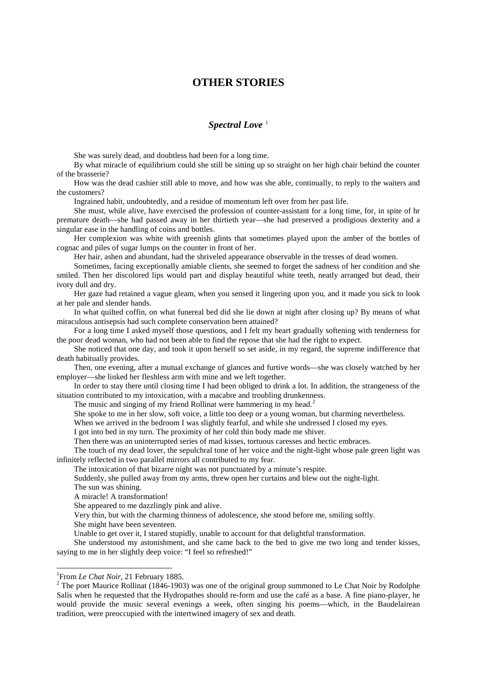## **OTHER STORIES**

## *Spectral Love*<sup>[1](#page-0-0)</sup>

She was surely dead, and doubtless had been for a long time.

By what miracle of equilibrium could she still be sitting up so straight on her high chair behind the counter of the brasserie?

How was the dead cashier still able to move, and how was she able, continually, to reply to the waiters and the customers?

Ingrained habit, undoubtedly, and a residue of momentum left over from her past life.

She must, while alive, have exercised the profession of counter-assistant for a long time, for, in spite of hr premature death—she had passed away in her thirtieth year—she had preserved a prodigious dexterity and a singular ease in the handling of coins and bottles.

Her complexion was white with greenish glints that sometimes played upon the amber of the bottles of cognac and piles of sugar lumps on the counter in front of her.

Her hair, ashen and abundant, had the shriveled appearance observable in the tresses of dead women.

Sometimes, facing exceptionally amiable clients, she seemed to forget the sadness of her condition and she smiled. Then her discolored lips would part and display beautiful white teeth, neatly arranged but dead, their ivory dull and dry.

Her gaze had retained a vague gleam, when you sensed it lingering upon you, and it made you sick to look at her pale and slender hands.

In what quilted coffin, on what funereal bed did she lie down at night after closing up? By means of what miraculous antisepsis had such complete conservation been attained?

For a long time I asked myself those questions, and I felt my heart gradually softening with tenderness for the poor dead woman, who had not been able to find the repose that she had the right to expect.

She noticed that one day, and took it upon herself so set aside, in my regard, the supreme indifference that death habitually provides.

Then, one evening, after a mutual exchange of glances and furtive words—she was closely watched by her employer—she linked her fleshless arm with mine and we left together.

In order to stay there until closing time I had been obliged to drink a lot. In addition, the strangeness of the situation contributed to my intoxication, with a macabre and troubling drunkenness.

The music and singing of my friend Rollinat were hammering in my head.<sup>[2](#page-0-1)</sup>

She spoke to me in her slow, soft voice, a little too deep or a young woman, but charming nevertheless.

When we arrived in the bedroom I was slightly fearful, and while she undressed I closed my eyes.

I got into bed in my turn. The proximity of her cold thin body made me shiver.

Then there was an uninterrupted series of mad kisses, tortuous caresses and hectic embraces.

The touch of my dead lover, the sepulchral tone of her voice and the night-light whose pale green light was infinitely reflected in two parallel mirrors all contributed to my fear.

The intoxication of that bizarre night was not punctuated by a minute's respite.

Suddenly, she pulled away from my arms, threw open her curtains and blew out the night-light. The sun was shining.

A miracle! A transformation!

She appeared to me dazzlingly pink and alive.

Very thin, but with the charming thinness of adolescence, she stood before me, smiling softly.

She might have been seventeen.

Unable to get over it, I stared stupidly, unable to account for that delightful transformation.

She understood my astonishment, and she came back to the bed to give me two long and tender kisses, saying to me in her slightly deep voice: "I feel so refreshed!"

<sup>&</sup>lt;sup>1</sup>From *Le Chat Noir*, 21 February 1885.

<span id="page-0-1"></span><span id="page-0-0"></span><sup>&</sup>lt;sup>2</sup> The poet Maurice Rollinat (1846-1903) was one of the original group summoned to Le Chat Noir by Rodolphe Salis when he requested that the Hydropathes should re-form and use the café as a base. A fine piano-player, he would provide the music several evenings a week, often singing his poems—which, in the Baudelairean tradition, were preoccupied with the intertwined imagery of sex and death.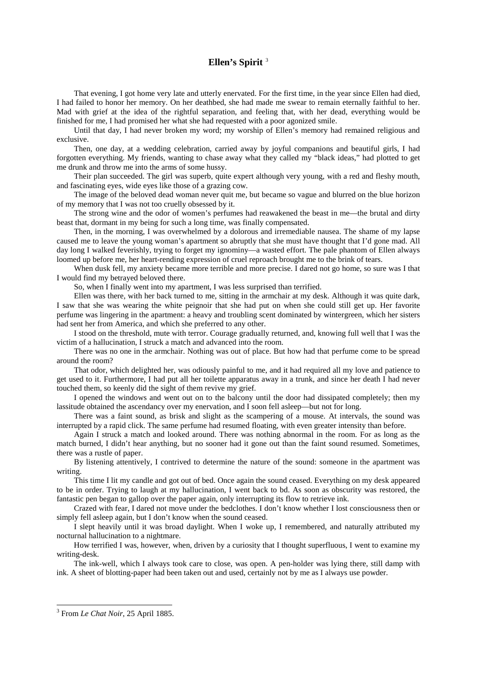## **Ellen's Spirit** [3](#page-2-0)

That evening, I got home very late and utterly enervated. For the first time, in the year since Ellen had died, I had failed to honor her memory. On her deathbed, she had made me swear to remain eternally faithful to her. Mad with grief at the idea of the rightful separation, and feeling that, with her dead, everything would be finished for me, I had promised her what she had requested with a poor agonized smile.

Until that day, I had never broken my word; my worship of Ellen's memory had remained religious and exclusive.

Then, one day, at a wedding celebration, carried away by joyful companions and beautiful girls, I had forgotten everything. My friends, wanting to chase away what they called my "black ideas," had plotted to get me drunk and throw me into the arms of some hussy.

Their plan succeeded. The girl was superb, quite expert although very young, with a red and fleshy mouth, and fascinating eyes, wide eyes like those of a grazing cow.

The image of the beloved dead woman never quit me, but became so vague and blurred on the blue horizon of my memory that I was not too cruelly obsessed by it.

The strong wine and the odor of women's perfumes had reawakened the beast in me—the brutal and dirty beast that, dormant in my being for such a long time, was finally compensated.

Then, in the morning, I was overwhelmed by a dolorous and irremediable nausea. The shame of my lapse caused me to leave the young woman's apartment so abruptly that she must have thought that I'd gone mad. All day long I walked feverishly, trying to forget my ignominy—a wasted effort. The pale phantom of Ellen always loomed up before me, her heart-rending expression of cruel reproach brought me to the brink of tears.

When dusk fell, my anxiety became more terrible and more precise. I dared not go home, so sure was I that I would find my betrayed beloved there.

So, when I finally went into my apartment, I was less surprised than terrified.

Ellen was there, with her back turned to me, sitting in the armchair at my desk. Although it was quite dark, I saw that she was wearing the white peignoir that she had put on when she could still get up. Her favorite perfume was lingering in the apartment: a heavy and troubling scent dominated by wintergreen, which her sisters had sent her from America, and which she preferred to any other.

I stood on the threshold, mute with terror. Courage gradually returned, and, knowing full well that I was the victim of a hallucination, I struck a match and advanced into the room.

There was no one in the armchair. Nothing was out of place. But how had that perfume come to be spread around the room?

That odor, which delighted her, was odiously painful to me, and it had required all my love and patience to get used to it. Furthermore, I had put all her toilette apparatus away in a trunk, and since her death I had never touched them, so keenly did the sight of them revive my grief.

I opened the windows and went out on to the balcony until the door had dissipated completely; then my lassitude obtained the ascendancy over my enervation, and I soon fell asleep—but not for long.

There was a faint sound, as brisk and slight as the scampering of a mouse. At intervals, the sound was interrupted by a rapid click. The same perfume had resumed floating, with even greater intensity than before.

Again I struck a match and looked around. There was nothing abnormal in the room. For as long as the match burned, I didn't hear anything, but no sooner had it gone out than the faint sound resumed. Sometimes, there was a rustle of paper.

By listening attentively, I contrived to determine the nature of the sound: someone in the apartment was writing.

This time I lit my candle and got out of bed. Once again the sound ceased. Everything on my desk appeared to be in order. Trying to laugh at my hallucination, I went back to bd. As soon as obscurity was restored, the fantastic pen began to gallop over the paper again, only interrupting its flow to retrieve ink.

Crazed with fear, I dared not move under the bedclothes. I don't know whether I lost consciousness then or simply fell asleep again, but I don't know when the sound ceased.

I slept heavily until it was broad daylight. When I woke up, I remembered, and naturally attributed my nocturnal hallucination to a nightmare.

How terrified I was, however, when, driven by a curiosity that I thought superfluous, I went to examine my writing-desk.

The ink-well, which I always took care to close, was open. A pen-holder was lying there, still damp with ink. A sheet of blotting-paper had been taken out and used, certainly not by me as I always use powder.

<span id="page-2-0"></span> <sup>3</sup> From *Le Chat Noir*, 25 April 1885.